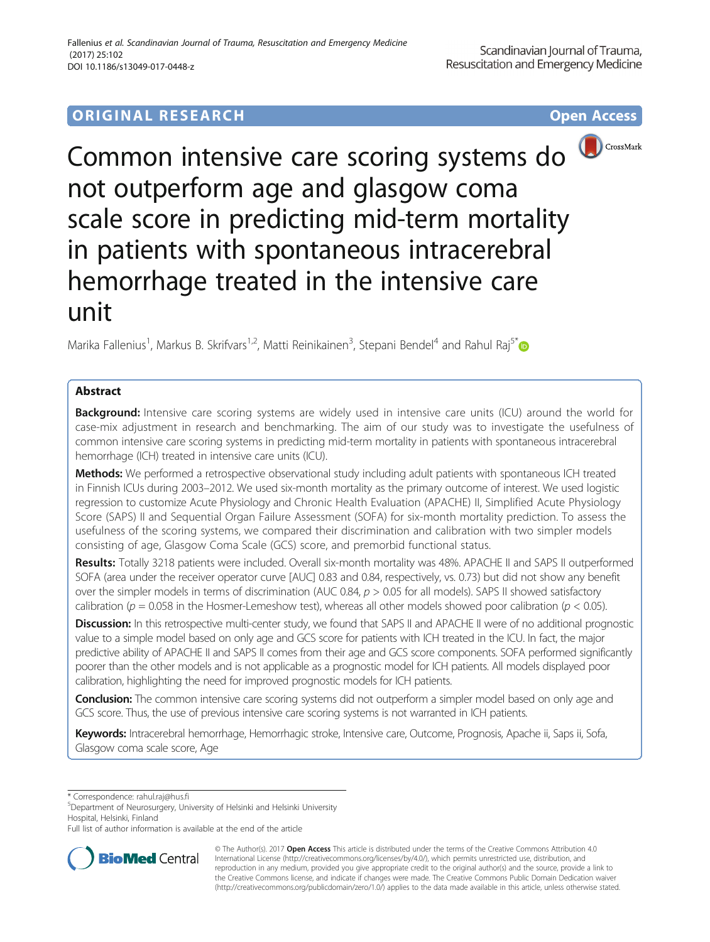# **ORIGINAL RESEARCH CONSUMING ACCESS**





Common intensive care scoring systems do not outperform age and glasgow coma scale score in predicting mid-term mortality in patients with spontaneous intracerebral hemorrhage treated in the intensive care unit

Marika Fallenius<sup>1</sup>, Markus B. Skrifvars<sup>1,2</sup>, Matti Reinikainen<sup>3</sup>, Stepani Bendel<sup>4</sup> and Rahul Raj<sup>5[\\*](http://orcid.org/0000-0003-4243-9591)</sup>

## Abstract

**Background:** Intensive care scoring systems are widely used in intensive care units (ICU) around the world for case-mix adjustment in research and benchmarking. The aim of our study was to investigate the usefulness of common intensive care scoring systems in predicting mid-term mortality in patients with spontaneous intracerebral hemorrhage (ICH) treated in intensive care units (ICU).

Methods: We performed a retrospective observational study including adult patients with spontaneous ICH treated in Finnish ICUs during 2003–2012. We used six-month mortality as the primary outcome of interest. We used logistic regression to customize Acute Physiology and Chronic Health Evaluation (APACHE) II, Simplified Acute Physiology Score (SAPS) II and Sequential Organ Failure Assessment (SOFA) for six-month mortality prediction. To assess the usefulness of the scoring systems, we compared their discrimination and calibration with two simpler models consisting of age, Glasgow Coma Scale (GCS) score, and premorbid functional status.

Results: Totally 3218 patients were included. Overall six-month mortality was 48%. APACHE II and SAPS II outperformed SOFA (area under the receiver operator curve [AUC] 0.83 and 0.84, respectively, vs. 0.73) but did not show any benefit over the simpler models in terms of discrimination (AUC 0.84,  $p > 0.05$  for all models). SAPS II showed satisfactory calibration ( $p = 0.058$  in the Hosmer-Lemeshow test), whereas all other models showed poor calibration ( $p < 0.05$ ).

Discussion: In this retrospective multi-center study, we found that SAPS II and APACHE II were of no additional prognostic value to a simple model based on only age and GCS score for patients with ICH treated in the ICU. In fact, the major predictive ability of APACHE II and SAPS II comes from their age and GCS score components. SOFA performed significantly poorer than the other models and is not applicable as a prognostic model for ICH patients. All models displayed poor calibration, highlighting the need for improved prognostic models for ICH patients.

Conclusion: The common intensive care scoring systems did not outperform a simpler model based on only age and GCS score. Thus, the use of previous intensive care scoring systems is not warranted in ICH patients.

Keywords: Intracerebral hemorrhage, Hemorrhagic stroke, Intensive care, Outcome, Prognosis, Apache ii, Saps ii, Sofa, Glasgow coma scale score, Age

\* Correspondence: [rahul.raj@hus.fi](mailto:rahul.raj@hus.fi) <sup>5</sup>

Department of Neurosurgery, University of Helsinki and Helsinki University Hospital, Helsinki, Finland

Full list of author information is available at the end of the article



© The Author(s). 2017 **Open Access** This article is distributed under the terms of the Creative Commons Attribution 4.0 International License [\(http://creativecommons.org/licenses/by/4.0/](http://creativecommons.org/licenses/by/4.0/)), which permits unrestricted use, distribution, and reproduction in any medium, provided you give appropriate credit to the original author(s) and the source, provide a link to the Creative Commons license, and indicate if changes were made. The Creative Commons Public Domain Dedication waiver [\(http://creativecommons.org/publicdomain/zero/1.0/](http://creativecommons.org/publicdomain/zero/1.0/)) applies to the data made available in this article, unless otherwise stated.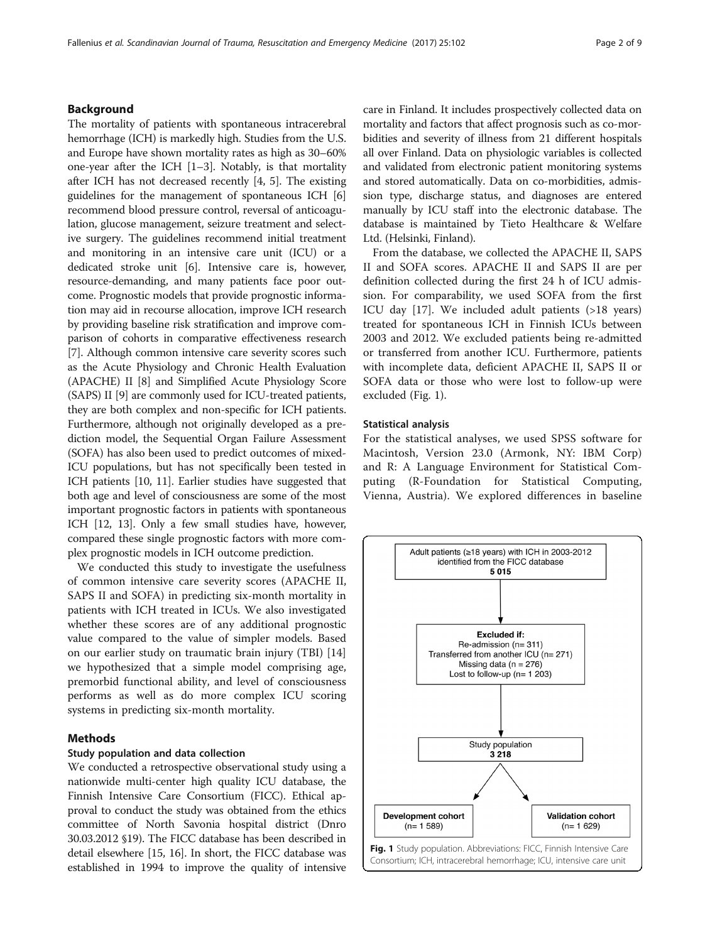## <span id="page-1-0"></span>Background

The mortality of patients with spontaneous intracerebral hemorrhage (ICH) is markedly high. Studies from the U.S. and Europe have shown mortality rates as high as 30–60% one-year after the ICH [\[1](#page-7-0)–[3\]](#page-7-0). Notably, is that mortality after ICH has not decreased recently [[4](#page-7-0), [5](#page-7-0)]. The existing guidelines for the management of spontaneous ICH [[6](#page-7-0)] recommend blood pressure control, reversal of anticoagulation, glucose management, seizure treatment and selective surgery. The guidelines recommend initial treatment and monitoring in an intensive care unit (ICU) or a dedicated stroke unit [\[6](#page-7-0)]. Intensive care is, however, resource-demanding, and many patients face poor outcome. Prognostic models that provide prognostic information may aid in recourse allocation, improve ICH research by providing baseline risk stratification and improve comparison of cohorts in comparative effectiveness research [[7\]](#page-7-0). Although common intensive care severity scores such as the Acute Physiology and Chronic Health Evaluation (APACHE) II [[8](#page-7-0)] and Simplified Acute Physiology Score (SAPS) II [[9\]](#page-7-0) are commonly used for ICU-treated patients, they are both complex and non-specific for ICH patients. Furthermore, although not originally developed as a prediction model, the Sequential Organ Failure Assessment (SOFA) has also been used to predict outcomes of mixed-ICU populations, but has not specifically been tested in ICH patients [[10](#page-7-0), [11\]](#page-7-0). Earlier studies have suggested that both age and level of consciousness are some of the most important prognostic factors in patients with spontaneous ICH [\[12, 13](#page-7-0)]. Only a few small studies have, however, compared these single prognostic factors with more complex prognostic models in ICH outcome prediction.

We conducted this study to investigate the usefulness of common intensive care severity scores (APACHE II, SAPS II and SOFA) in predicting six-month mortality in patients with ICH treated in ICUs. We also investigated whether these scores are of any additional prognostic value compared to the value of simpler models. Based on our earlier study on traumatic brain injury (TBI) [[14](#page-7-0)] we hypothesized that a simple model comprising age, premorbid functional ability, and level of consciousness performs as well as do more complex ICU scoring systems in predicting six-month mortality.

### Methods

## Study population and data collection

We conducted a retrospective observational study using a nationwide multi-center high quality ICU database, the Finnish Intensive Care Consortium (FICC). Ethical approval to conduct the study was obtained from the ethics committee of North Savonia hospital district (Dnro 30.03.2012 §19). The FICC database has been described in detail elsewhere [\[15, 16\]](#page-7-0). In short, the FICC database was established in 1994 to improve the quality of intensive care in Finland. It includes prospectively collected data on mortality and factors that affect prognosis such as co-morbidities and severity of illness from 21 different hospitals all over Finland. Data on physiologic variables is collected and validated from electronic patient monitoring systems and stored automatically. Data on co-morbidities, admission type, discharge status, and diagnoses are entered manually by ICU staff into the electronic database. The database is maintained by Tieto Healthcare & Welfare Ltd. (Helsinki, Finland).

From the database, we collected the APACHE II, SAPS II and SOFA scores. APACHE II and SAPS II are per definition collected during the first 24 h of ICU admission. For comparability, we used SOFA from the first ICU day [\[17\]](#page-7-0). We included adult patients (>18 years) treated for spontaneous ICH in Finnish ICUs between 2003 and 2012. We excluded patients being re-admitted or transferred from another ICU. Furthermore, patients with incomplete data, deficient APACHE II, SAPS II or SOFA data or those who were lost to follow-up were excluded (Fig. 1).

#### Statistical analysis

For the statistical analyses, we used SPSS software for Macintosh, Version 23.0 (Armonk, NY: IBM Corp) and R: A Language Environment for Statistical Computing (R-Foundation for Statistical Computing, Vienna, Austria). We explored differences in baseline

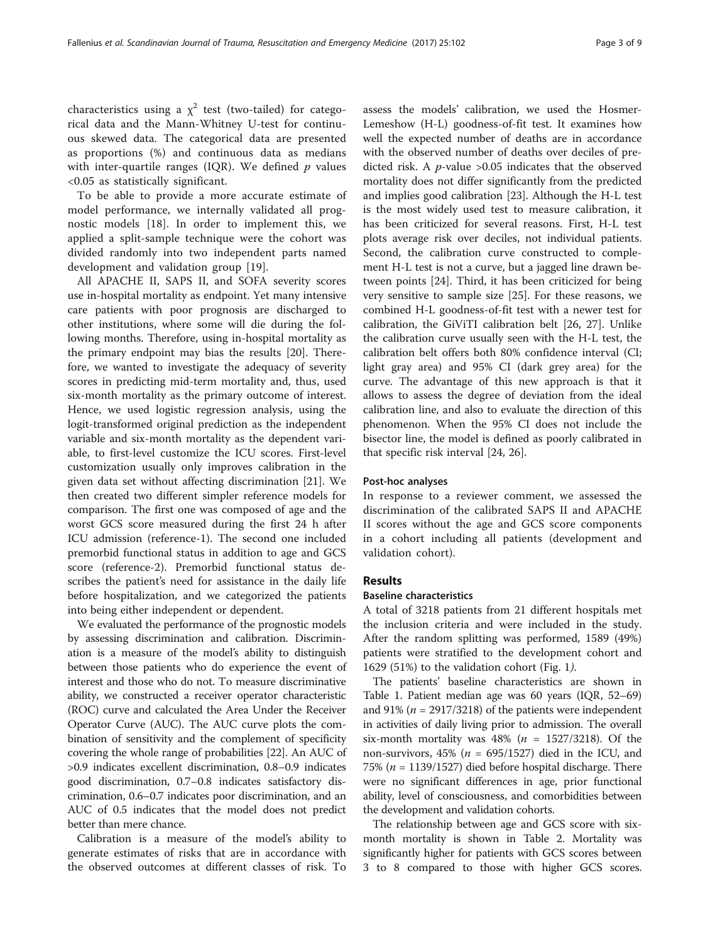characteristics using a  $\chi^2$  test (two-tailed) for categorical data and the Mann-Whitney U-test for continuous skewed data. The categorical data are presented as proportions (%) and continuous data as medians with inter-quartile ranges (IQR). We defined  $p$  values <0.05 as statistically significant.

To be able to provide a more accurate estimate of model performance, we internally validated all prognostic models [\[18](#page-7-0)]. In order to implement this, we applied a split-sample technique were the cohort was divided randomly into two independent parts named development and validation group [[19\]](#page-7-0).

All APACHE II, SAPS II, and SOFA severity scores use in-hospital mortality as endpoint. Yet many intensive care patients with poor prognosis are discharged to other institutions, where some will die during the following months. Therefore, using in-hospital mortality as the primary endpoint may bias the results [\[20](#page-7-0)]. Therefore, we wanted to investigate the adequacy of severity scores in predicting mid-term mortality and, thus, used six-month mortality as the primary outcome of interest. Hence, we used logistic regression analysis, using the logit-transformed original prediction as the independent variable and six-month mortality as the dependent variable, to first-level customize the ICU scores. First-level customization usually only improves calibration in the given data set without affecting discrimination [\[21](#page-7-0)]. We then created two different simpler reference models for comparison. The first one was composed of age and the worst GCS score measured during the first 24 h after ICU admission (reference-1). The second one included premorbid functional status in addition to age and GCS score (reference-2). Premorbid functional status describes the patient's need for assistance in the daily life before hospitalization, and we categorized the patients into being either independent or dependent.

We evaluated the performance of the prognostic models by assessing discrimination and calibration. Discrimination is a measure of the model's ability to distinguish between those patients who do experience the event of interest and those who do not. To measure discriminative ability, we constructed a receiver operator characteristic (ROC) curve and calculated the Area Under the Receiver Operator Curve (AUC). The AUC curve plots the combination of sensitivity and the complement of specificity covering the whole range of probabilities [[22](#page-7-0)]. An AUC of >0.9 indicates excellent discrimination, 0.8–0.9 indicates good discrimination, 0.7–0.8 indicates satisfactory discrimination, 0.6–0.7 indicates poor discrimination, and an AUC of 0.5 indicates that the model does not predict better than mere chance.

Calibration is a measure of the model's ability to generate estimates of risks that are in accordance with the observed outcomes at different classes of risk. To

assess the models' calibration, we used the Hosmer-Lemeshow (H-L) goodness-of-fit test. It examines how well the expected number of deaths are in accordance with the observed number of deaths over deciles of predicted risk. A  $p$ -value >0.05 indicates that the observed mortality does not differ significantly from the predicted and implies good calibration [\[23](#page-7-0)]. Although the H-L test is the most widely used test to measure calibration, it has been criticized for several reasons. First, H-L test plots average risk over deciles, not individual patients. Second, the calibration curve constructed to complement H-L test is not a curve, but a jagged line drawn between points [\[24](#page-7-0)]. Third, it has been criticized for being very sensitive to sample size [[25](#page-7-0)]. For these reasons, we combined H-L goodness-of-fit test with a newer test for calibration, the GiViTI calibration belt [[26, 27\]](#page-7-0). Unlike the calibration curve usually seen with the H-L test, the calibration belt offers both 80% confidence interval (CI; light gray area) and 95% CI (dark grey area) for the curve. The advantage of this new approach is that it allows to assess the degree of deviation from the ideal calibration line, and also to evaluate the direction of this phenomenon. When the 95% CI does not include the bisector line, the model is defined as poorly calibrated in that specific risk interval [[24, 26\]](#page-7-0).

#### Post-hoc analyses

In response to a reviewer comment, we assessed the discrimination of the calibrated SAPS II and APACHE II scores without the age and GCS score components in a cohort including all patients (development and validation cohort).

#### Results

#### Baseline characteristics

A total of 3218 patients from 21 different hospitals met the inclusion criteria and were included in the study. After the random splitting was performed, 1589 (49%) patients were stratified to the development cohort and 1629 (51%) to the validation cohort (Fig. [1](#page-1-0)).

The patients' baseline characteristics are shown in Table [1.](#page-3-0) Patient median age was 60 years (IQR, 52–69) and 91% ( $n = 2917/3218$ ) of the patients were independent in activities of daily living prior to admission. The overall six-month mortality was 48% ( $n = 1527/3218$ ). Of the non-survivors,  $45\%$  ( $n = 695/1527$ ) died in the ICU, and 75% ( $n = 1139/1527$ ) died before hospital discharge. There were no significant differences in age, prior functional ability, level of consciousness, and comorbidities between the development and validation cohorts.

The relationship between age and GCS score with sixmonth mortality is shown in Table [2.](#page-4-0) Mortality was significantly higher for patients with GCS scores between 3 to 8 compared to those with higher GCS scores.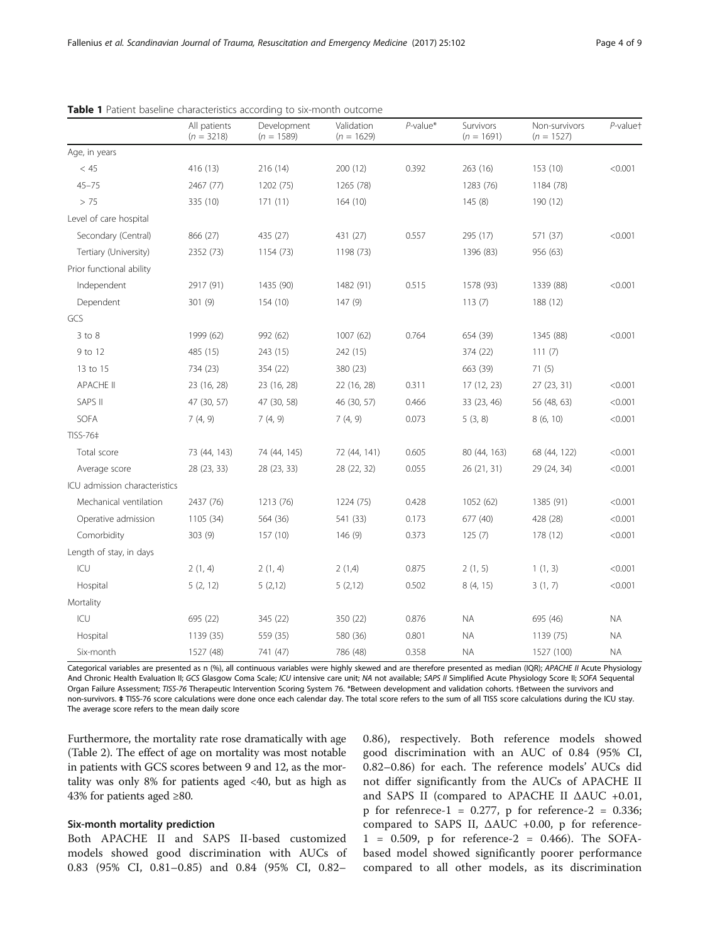|                               | All patients<br>$(n = 3218)$ | Development<br>$(n = 1589)$ | Validation<br>$(n = 1629)$ | $P$ -value* | Survivors<br>$(n = 1691)$ | Non-survivors<br>$(n = 1527)$ | P-valuet  |
|-------------------------------|------------------------------|-----------------------------|----------------------------|-------------|---------------------------|-------------------------------|-----------|
| Age, in years                 |                              |                             |                            |             |                           |                               |           |
| < 45                          | 416 (13)                     | 216 (14)                    | 200 (12)                   | 0.392       | 263 (16)                  | 153 (10)                      | < 0.001   |
| $45 - 75$                     | 2467 (77)                    | 1202 (75)                   | 1265 (78)                  |             | 1283 (76)                 | 1184 (78)                     |           |
| > 75                          | 335 (10)                     | 171(11)                     | 164(10)                    |             | 145(8)                    | 190 (12)                      |           |
| Level of care hospital        |                              |                             |                            |             |                           |                               |           |
| Secondary (Central)           | 866 (27)                     | 435 (27)                    | 431 (27)                   | 0.557       | 295 (17)                  | 571 (37)                      | < 0.001   |
| Tertiary (University)         | 2352 (73)                    | 1154 (73)                   | 1198 (73)                  |             | 1396 (83)                 | 956 (63)                      |           |
| Prior functional ability      |                              |                             |                            |             |                           |                               |           |
| Independent                   | 2917 (91)                    | 1435 (90)                   | 1482 (91)                  | 0.515       | 1578 (93)                 | 1339 (88)                     | < 0.001   |
| Dependent                     | 301 (9)                      | 154 (10)                    | 147(9)                     |             | 113(7)                    | 188 (12)                      |           |
| GCS                           |                              |                             |                            |             |                           |                               |           |
| $3$ to $8$                    | 1999 (62)                    | 992 (62)                    | 1007 (62)                  | 0.764       | 654 (39)                  | 1345 (88)                     | < 0.001   |
| 9 to 12                       | 485 (15)                     | 243 (15)                    | 242 (15)                   |             | 374 (22)                  | 111(7)                        |           |
| 13 to 15                      | 734 (23)                     | 354 (22)                    | 380 (23)                   |             | 663 (39)                  | 71(5)                         |           |
| <b>APACHE II</b>              | 23 (16, 28)                  | 23 (16, 28)                 | 22 (16, 28)                | 0.311       | 17 (12, 23)               | 27(23, 31)                    | < 0.001   |
| SAPS II                       | 47 (30, 57)                  | 47 (30, 58)                 | 46 (30, 57)                | 0.466       | 33 (23, 46)               | 56 (48, 63)                   | < 0.001   |
| <b>SOFA</b>                   | 7(4, 9)                      | 7(4, 9)                     | 7(4, 9)                    | 0.073       | 5(3, 8)                   | 8(6, 10)                      | < 0.001   |
| TISS-76‡                      |                              |                             |                            |             |                           |                               |           |
| Total score                   | 73 (44, 143)                 | 74 (44, 145)                | 72 (44, 141)               | 0.605       | 80 (44, 163)              | 68 (44, 122)                  | < 0.001   |
| Average score                 | 28 (23, 33)                  | 28 (23, 33)                 | 28 (22, 32)                | 0.055       | 26 (21, 31)               | 29 (24, 34)                   | < 0.001   |
| ICU admission characteristics |                              |                             |                            |             |                           |                               |           |
| Mechanical ventilation        | 2437 (76)                    | 1213 (76)                   | 1224 (75)                  | 0.428       | 1052 (62)                 | 1385 (91)                     | < 0.001   |
| Operative admission           | 1105 (34)                    | 564 (36)                    | 541 (33)                   | 0.173       | 677 (40)                  | 428 (28)                      | < 0.001   |
| Comorbidity                   | 303 (9)                      | 157 (10)                    | 146(9)                     | 0.373       | 125(7)                    | 178 (12)                      | < 0.001   |
| Length of stay, in days       |                              |                             |                            |             |                           |                               |           |
| ICU                           | 2(1, 4)                      | 2(1, 4)                     | 2(1,4)                     | 0.875       | 2(1, 5)                   | 1(1, 3)                       | < 0.001   |
| Hospital                      | 5(2, 12)                     | 5(2,12)                     | 5(2,12)                    | 0.502       | 8(4, 15)                  | 3(1, 7)                       | < 0.001   |
| Mortality                     |                              |                             |                            |             |                           |                               |           |
| ICU                           | 695 (22)                     | 345 (22)                    | 350 (22)                   | 0.876       | <b>NA</b>                 | 695 (46)                      | <b>NA</b> |
| Hospital                      | 1139 (35)                    | 559 (35)                    | 580 (36)                   | 0.801       | <b>NA</b>                 | 1139 (75)                     | <b>NA</b> |
| Six-month                     | 1527 (48)                    | 741 (47)                    | 786 (48)                   | 0.358       | <b>NA</b>                 | 1527 (100)                    | <b>NA</b> |

<span id="page-3-0"></span>Table 1 Patient baseline characteristics according to six-month outcome

Categorical variables are presented as n (%), all continuous variables were highly skewed and are therefore presented as median (IQR); APACHE II Acute Physiology And Chronic Health Evaluation II; GCS Glasgow Coma Scale; ICU intensive care unit; NA not available; SAPS II Simplified Acute Physiology Score II; SOFA Sequental Organ Failure Assessment; TISS-76 Therapeutic Intervention Scoring System 76. \*Between development and validation cohorts. †Between the survivors and non-survivors. ‡ TISS-76 score calculations were done once each calendar day. The total score refers to the sum of all TISS score calculations during the ICU stay. The average score refers to the mean daily score

Furthermore, the mortality rate rose dramatically with age (Table [2](#page-4-0)). The effect of age on mortality was most notable in patients with GCS scores between 9 and 12, as the mortality was only 8% for patients aged  $<$  40, but as high as 43% for patients aged ≥80.

#### Six-month mortality prediction

Both APACHE II and SAPS II-based customized models showed good discrimination with AUCs of 0.83 (95% CI, 0.81–0.85) and 0.84 (95% CI, 0.82–

0.86), respectively. Both reference models showed good discrimination with an AUC of 0.84 (95% CI, 0.82–0.86) for each. The reference models' AUCs did not differ significantly from the AUCs of APACHE II and SAPS II (compared to APACHE II ΔAUC +0.01, p for refenrece- $1 = 0.277$ , p for reference- $2 = 0.336$ ; compared to SAPS II, ΔAUC +0.00, p for reference-1 = 0.509, p for reference-2 = 0.466). The SOFAbased model showed significantly poorer performance compared to all other models, as its discrimination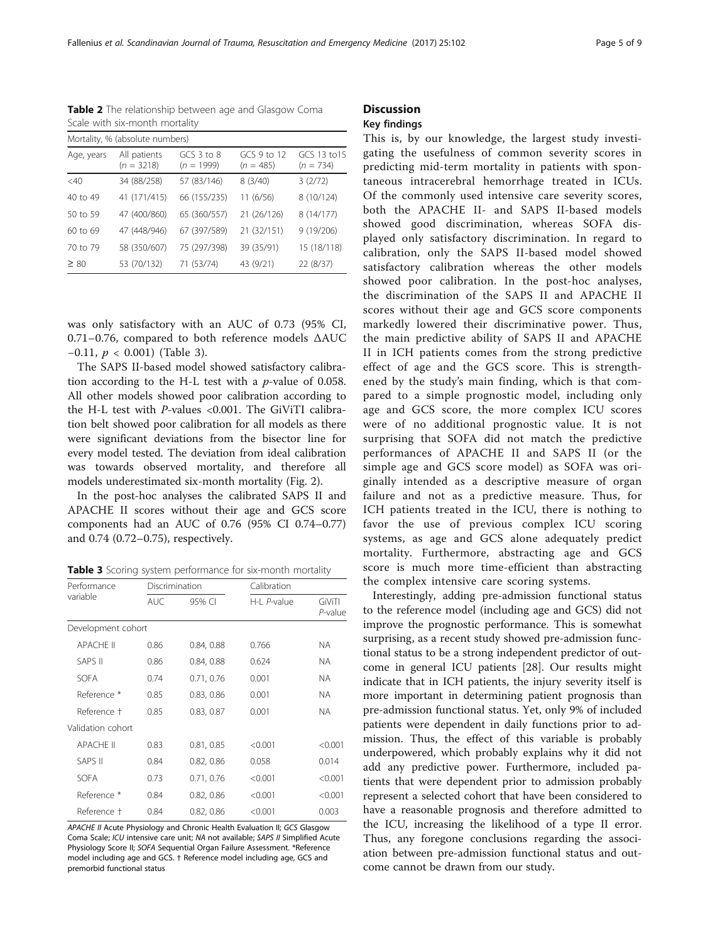| Mortality, % (absolute numbers) |                              |                            |                              |                             |  |  |  |
|---------------------------------|------------------------------|----------------------------|------------------------------|-----------------------------|--|--|--|
| Age, years                      | All patients<br>$(n = 3218)$ | GCS 3 to 8<br>$(n = 1999)$ | $GCS$ 9 to 12<br>$(n = 485)$ | GCS 13 to 15<br>$(n = 734)$ |  |  |  |
| $<$ 40                          | 34 (88/258)                  | 57 (83/146)                | 8(3/40)                      | 3(2/72)                     |  |  |  |
| 40 to 49                        | 41 (171/415)                 | 66 (155/235)               | 11 (6/56)                    | 8 (10/124)                  |  |  |  |
| 50 to 59                        | 47 (400/860)                 | 65 (360/557)               | 21 (26/126)                  | 8 (14/177)                  |  |  |  |
| 60 to 69                        | 47 (448/946)                 | 67 (397/589)               | 21 (32/151)                  | 9(19/206)                   |  |  |  |
| 70 to 79                        | 58 (350/607)                 | 75 (297/398)               | 39 (35/91)                   | 15 (18/118)                 |  |  |  |
| $\geq 80$                       | 53 (70/132)                  | 71 (53/74)                 | 43 (9/21)                    | 22(8/37)                    |  |  |  |

<span id="page-4-0"></span>Table 2 The relationship between age and Glasgow Coma Scale with six-month mortality

was only satisfactory with an AUC of 0.73 (95% CI, 0.71–0.76, compared to both reference models ΔAUC −0.11, p < 0.001) (Table 3).

The SAPS II-based model showed satisfactory calibration according to the H-L test with a  $p$ -value of 0.058. All other models showed poor calibration according to the H-L test with P-values <0.001. The GiViTI calibration belt showed poor calibration for all models as there were significant deviations from the bisector line for every model tested. The deviation from ideal calibration was towards observed mortality, and therefore all models underestimated six-month mortality (Fig. [2\)](#page-5-0).

In the post-hoc analyses the calibrated SAPS II and APACHE II scores without their age and GCS score components had an AUC of 0.76 (95% CI 0.74–0.77) and 0.74 (0.72–0.75), respectively.

Table 3 Scoring system performance for six-month mortality

| Performance        | Discrimination |            | Calibration |                   |  |  |  |
|--------------------|----------------|------------|-------------|-------------------|--|--|--|
| variable           | AUC.           | 95% CI     | H-I P-value | GiViTI<br>P-value |  |  |  |
| Development cohort |                |            |             |                   |  |  |  |
| <b>APACHE II</b>   | 0.86           | 0.84, 0.88 | 0.766       | <b>NA</b>         |  |  |  |
| <b>SAPS II</b>     | 0.86           | 0.84, 0.88 | 0.624       | NА                |  |  |  |
| <b>SOFA</b>        | 0.74           | 0.71, 0.76 | 0.001       | <b>NA</b>         |  |  |  |
| Reference *        | 0.85           | 0.83, 0.86 | 0.001       | <b>NA</b>         |  |  |  |
| Reference +        | 0.85           | 0.83, 0.87 | 0.001       | <b>NA</b>         |  |  |  |
| Validation cohort  |                |            |             |                   |  |  |  |
| <b>APACHE II</b>   | 0.83           | 0.81, 0.85 | < 0.001     | < 0.001           |  |  |  |
| <b>SAPS II</b>     | 0.84           | 0.82, 0.86 | 0.058       | 0.014             |  |  |  |
| <b>SOFA</b>        | 0.73           | 0.71, 0.76 | < 0.001     | < 0.001           |  |  |  |
| Reference *        | 0.84           | 0.82, 0.86 | < 0.001     | < 0.001           |  |  |  |
| Reference +        | 0.84           | 0.82, 0.86 | < 0.001     | 0.003             |  |  |  |

APACHE II Acute Physiology and Chronic Health Evaluation II; GCS Glasgow Coma Scale; ICU intensive care unit; NA not available; SAPS II Simplified Acute Physiology Score II; SOFA Sequential Organ Failure Assessment. \*Reference model including age and GCS. † Reference model including age, GCS and premorbid functional status

## **Discussion**

## Key findings

This is, by our knowledge, the largest study investigating the usefulness of common severity scores in predicting mid-term mortality in patients with spontaneous intracerebral hemorrhage treated in ICUs. Of the commonly used intensive care severity scores, both the APACHE II- and SAPS II-based models showed good discrimination, whereas SOFA displayed only satisfactory discrimination. In regard to calibration, only the SAPS II-based model showed satisfactory calibration whereas the other models showed poor calibration. In the post-hoc analyses, the discrimination of the SAPS II and APACHE II scores without their age and GCS score components markedly lowered their discriminative power. Thus, the main predictive ability of SAPS II and APACHE II in ICH patients comes from the strong predictive effect of age and the GCS score. This is strengthened by the study's main finding, which is that compared to a simple prognostic model, including only age and GCS score, the more complex ICU scores were of no additional prognostic value. It is not surprising that SOFA did not match the predictive performances of APACHE II and SAPS II (or the simple age and GCS score model) as SOFA was originally intended as a descriptive measure of organ failure and not as a predictive measure. Thus, for ICH patients treated in the ICU, there is nothing to favor the use of previous complex ICU scoring systems, as age and GCS alone adequately predict mortality. Furthermore, abstracting age and GCS score is much more time-efficient than abstracting the complex intensive care scoring systems.

Interestingly, adding pre-admission functional status to the reference model (including age and GCS) did not improve the prognostic performance. This is somewhat surprising, as a recent study showed pre-admission functional status to be a strong independent predictor of outcome in general ICU patients [\[28](#page-7-0)]. Our results might indicate that in ICH patients, the injury severity itself is more important in determining patient prognosis than pre-admission functional status. Yet, only 9% of included patients were dependent in daily functions prior to admission. Thus, the effect of this variable is probably underpowered, which probably explains why it did not add any predictive power. Furthermore, included patients that were dependent prior to admission probably represent a selected cohort that have been considered to have a reasonable prognosis and therefore admitted to the ICU, increasing the likelihood of a type II error. Thus, any foregone conclusions regarding the association between pre-admission functional status and outcome cannot be drawn from our study.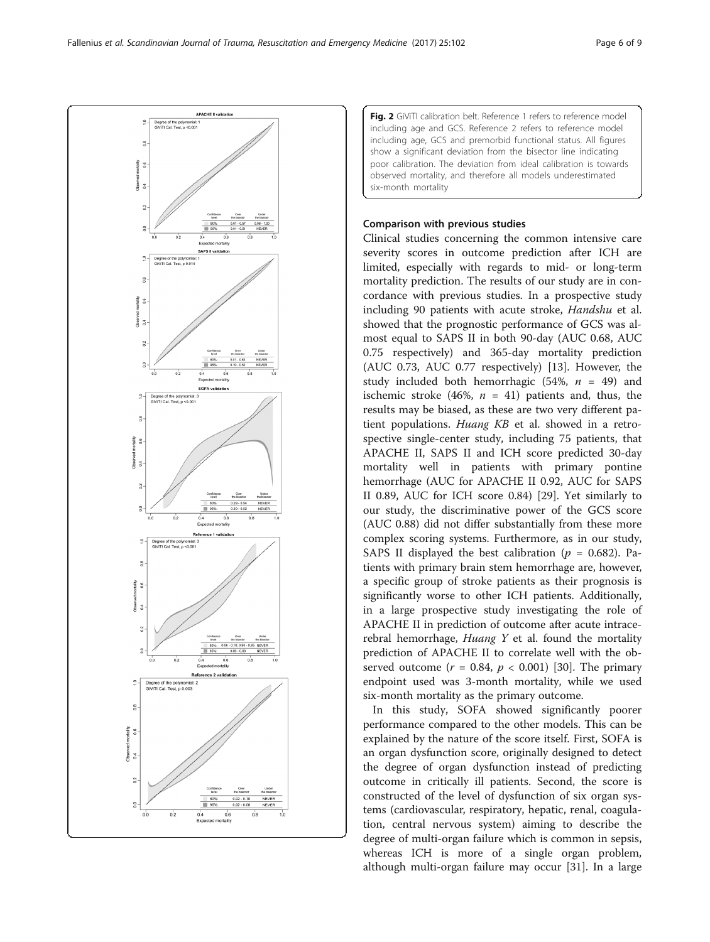Degree of the polynomial<br>GiViTI Cal. Test\_n.<0.00′  $\frac{8}{5}$  $\frac{a}{a}$  $\lambda$  $\frac{2}{2}$  $\leq$ Degree of the polynomia<br>GiViTI Cal. Test. p 0.014  $\frac{8}{2}$  $\mathbb{R}$  $\tilde{a}$ SOEA valid  $\epsilon$ Degree of the polynomial:<br>GiViTI Cal. Test, p <0.001  $\frac{8}{2}$ కి 5  $766$ <br>0.4 ř,  $\overline{a}$ Degree of the polynomial: 3<br>GiViTI Cal. Test, p <0.001  $\frac{8}{2}$ tality  $\frac{6}{2}$ bser  $\tilde{z}$  $\tilde{a}$  $\leq$ Degree of the polynomia<br>GiViTI Cal. Test, p 0.003  $\frac{8}{2}$  $\overline{a}$  $\overline{a}$ 

Fig. 2 GiViTI calibration belt. Reference [1](#page-7-0) refers to reference model including age and GCS. Reference [2](#page-7-0) refers to reference model including age, GCS and premorbid functional status. All figures show a significant deviation from the bisector line indicating poor calibration. The deviation from ideal calibration is towards observed mortality, and therefore all models underestimated six-month mortality

#### Comparison with previous studies

Clinical studies concerning the common intensive care severity scores in outcome prediction after ICH are limited, especially with regards to mid- or long-term mortality prediction. The results of our study are in concordance with previous studies. In a prospective study including 90 patients with acute stroke, Handshu et al. showed that the prognostic performance of GCS was almost equal to SAPS II in both 90-day (AUC 0.68, AUC 0.75 respectively) and 365-day mortality prediction (AUC 0.73, AUC 0.77 respectively) [[13\]](#page-7-0). However, the study included both hemorrhagic (54%,  $n = 49$ ) and ischemic stroke (46%,  $n = 41$ ) patients and, thus, the results may be biased, as these are two very different patient populations. Huang KB et al. showed in a retrospective single-center study, including 75 patients, that APACHE II, SAPS II and ICH score predicted 30-day mortality well in patients with primary pontine hemorrhage (AUC for APACHE II 0.92, AUC for SAPS II 0.89, AUC for ICH score 0.84) [\[29\]](#page-7-0). Yet similarly to our study, the discriminative power of the GCS score (AUC 0.88) did not differ substantially from these more complex scoring systems. Furthermore, as in our study, SAPS II displayed the best calibration ( $p = 0.682$ ). Patients with primary brain stem hemorrhage are, however, a specific group of stroke patients as their prognosis is significantly worse to other ICH patients. Additionally, in a large prospective study investigating the role of APACHE II in prediction of outcome after acute intracerebral hemorrhage, Huang Y et al. found the mortality prediction of APACHE II to correlate well with the observed outcome  $(r = 0.84, p < 0.001)$  [\[30](#page-7-0)]. The primary endpoint used was 3-month mortality, while we used six-month mortality as the primary outcome.

In this study, SOFA showed significantly poorer performance compared to the other models. This can be explained by the nature of the score itself. First, SOFA is an organ dysfunction score, originally designed to detect the degree of organ dysfunction instead of predicting outcome in critically ill patients. Second, the score is constructed of the level of dysfunction of six organ systems (cardiovascular, respiratory, hepatic, renal, coagulation, central nervous system) aiming to describe the degree of multi-organ failure which is common in sepsis, whereas ICH is more of a single organ problem, although multi-organ failure may occur [\[31](#page-8-0)]. In a large

**APACHE II valida** 

<span id="page-5-0"></span>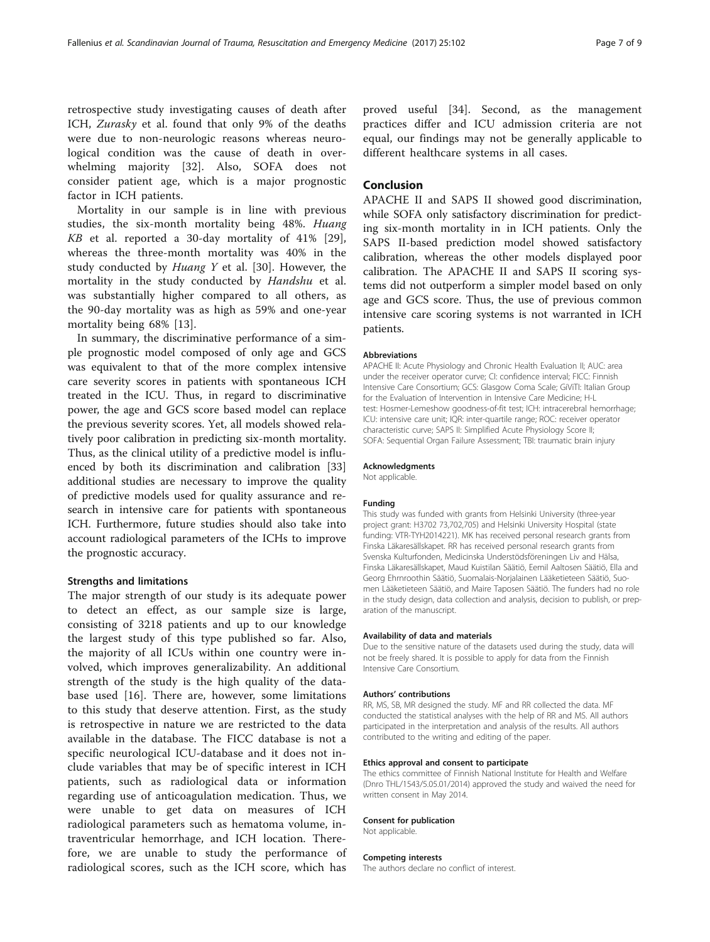retrospective study investigating causes of death after ICH, Zurasky et al. found that only 9% of the deaths were due to non-neurologic reasons whereas neurological condition was the cause of death in overwhelming majority [[32\]](#page-8-0). Also, SOFA does not consider patient age, which is a major prognostic factor in ICH patients.

Mortality in our sample is in line with previous studies, the six-month mortality being 48%. Huang KB et al. reported a 30-day mortality of 41% [\[29](#page-7-0)], whereas the three-month mortality was 40% in the study conducted by Huang Y et al. [[30\]](#page-7-0). However, the mortality in the study conducted by Handshu et al. was substantially higher compared to all others, as the 90-day mortality was as high as 59% and one-year mortality being 68% [\[13](#page-7-0)].

In summary, the discriminative performance of a simple prognostic model composed of only age and GCS was equivalent to that of the more complex intensive care severity scores in patients with spontaneous ICH treated in the ICU. Thus, in regard to discriminative power, the age and GCS score based model can replace the previous severity scores. Yet, all models showed relatively poor calibration in predicting six-month mortality. Thus, as the clinical utility of a predictive model is influenced by both its discrimination and calibration [[33](#page-8-0)] additional studies are necessary to improve the quality of predictive models used for quality assurance and research in intensive care for patients with spontaneous ICH. Furthermore, future studies should also take into account radiological parameters of the ICHs to improve the prognostic accuracy.

#### Strengths and limitations

The major strength of our study is its adequate power to detect an effect, as our sample size is large, consisting of 3218 patients and up to our knowledge the largest study of this type published so far. Also, the majority of all ICUs within one country were involved, which improves generalizability. An additional strength of the study is the high quality of the database used [\[16](#page-7-0)]. There are, however, some limitations to this study that deserve attention. First, as the study is retrospective in nature we are restricted to the data available in the database. The FICC database is not a specific neurological ICU-database and it does not include variables that may be of specific interest in ICH patients, such as radiological data or information regarding use of anticoagulation medication. Thus, we were unable to get data on measures of ICH radiological parameters such as hematoma volume, intraventricular hemorrhage, and ICH location. Therefore, we are unable to study the performance of radiological scores, such as the ICH score, which has

proved useful [\[34](#page-8-0)]. Second, as the management practices differ and ICU admission criteria are not equal, our findings may not be generally applicable to different healthcare systems in all cases.

#### Conclusion

APACHE II and SAPS II showed good discrimination, while SOFA only satisfactory discrimination for predicting six-month mortality in in ICH patients. Only the SAPS II-based prediction model showed satisfactory calibration, whereas the other models displayed poor calibration. The APACHE II and SAPS II scoring systems did not outperform a simpler model based on only age and GCS score. Thus, the use of previous common intensive care scoring systems is not warranted in ICH patients.

#### Abbreviations

APACHE II: Acute Physiology and Chronic Health Evaluation II; AUC: area under the receiver operator curve; CI: confidence interval; FICC: Finnish Intensive Care Consortium; GCS: Glasgow Coma Scale; GiViTI: Italian Group for the Evaluation of Intervention in Intensive Care Medicine; H-L test: Hosmer-Lemeshow goodness-of-fit test; ICH: intracerebral hemorrhage; ICU: intensive care unit; IQR: inter-quartile range; ROC: receiver operator characteristic curve; SAPS II: Simplified Acute Physiology Score II; SOFA: Sequential Organ Failure Assessment; TBI: traumatic brain injury

#### Acknowledgments

Not applicable.

#### Funding

This study was funded with grants from Helsinki University (three-year project grant: H3702 73,702,705) and Helsinki University Hospital (state funding: VTR-TYH2014221). MK has received personal research grants from Finska Läkaresällskapet. RR has received personal research grants from Svenska Kulturfonden, Medicinska Understödsföreningen Liv and Hälsa, Finska Läkaresällskapet, Maud Kuistilan Säätiö, Eemil Aaltosen Säätiö, Ella and Georg Ehrnroothin Säätiö, Suomalais-Norjalainen Lääketieteen Säätiö, Suomen Lääketieteen Säätiö, and Maire Taposen Säätiö. The funders had no role in the study design, data collection and analysis, decision to publish, or preparation of the manuscript.

#### Availability of data and materials

Due to the sensitive nature of the datasets used during the study, data will not be freely shared. It is possible to apply for data from the Finnish Intensive Care Consortium.

#### Authors' contributions

RR, MS, SB, MR designed the study. MF and RR collected the data. MF conducted the statistical analyses with the help of RR and MS. All authors participated in the interpretation and analysis of the results. All authors contributed to the writing and editing of the paper.

#### Ethics approval and consent to participate

The ethics committee of Finnish National Institute for Health and Welfare (Dnro THL/1543/5.05.01/2014) approved the study and waived the need for written consent in May 2014.

#### Consent for publication

Not applicable.

#### Competing interests

The authors declare no conflict of interest.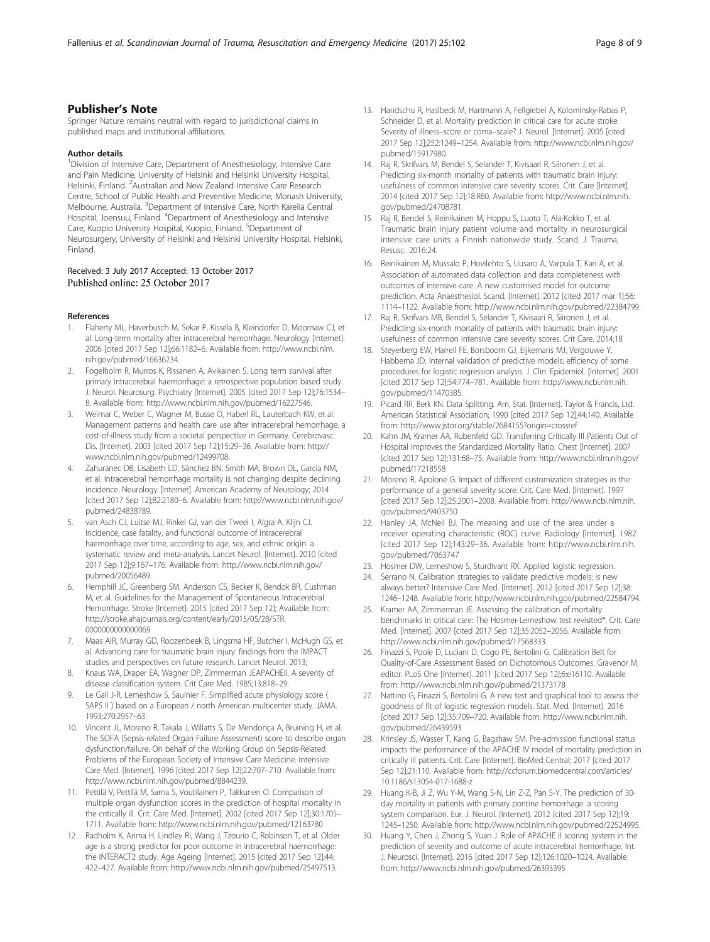### <span id="page-7-0"></span>Publisher's Note

Springer Nature remains neutral with regard to jurisdictional claims in published maps and institutional affiliations.

#### Author details

<sup>1</sup> Division of Intensive Care, Department of Anesthesiology, Intensive Care and Pain Medicine, University of Helsinki and Helsinki University Hospital, Helsinki, Finland. <sup>2</sup> Australian and New Zealand Intensive Care Research Centre, School of Public Health and Preventive Medicine, Monash University, Melbourne, Australia. <sup>3</sup>Department of Intensive Care, North Karelia Central Hospital, Joensuu, Finland. <sup>4</sup>Department of Anesthesiology and Intensive Care, Kuopio University Hospital, Kuopio, Finland. <sup>5</sup>Department of Neurosurgery, University of Helsinki and Helsinki University Hospital, Helsinki, Finland.

#### Received: 3 July 2017 Accepted: 13 October 2017 Published online: 25 October 2017

#### References

- 1. Flaherty ML, Haverbusch M, Sekar P, Kissela B, Kleindorfer D, Moomaw CJ, et al. Long-term mortality after intracerebral hemorrhage. Neurology [Internet]. 2006 [cited 2017 Sep 12];66:1182–6. Available from: [http://www.ncbi.nlm.](http://www.ncbi.nlm.nih.gov/pubmed/16636234) [nih.gov/pubmed/16636234](http://www.ncbi.nlm.nih.gov/pubmed/16636234).
- 2. Fogelholm R, Murros K, Rissanen A, Avikainen S. Long term survival after primary intracerebral haemorrhage: a retrospective population based study. J. Neurol. Neurosurg. Psychiatry [Internet]. 2005 [cited 2017 Sep 12];76:1534– 8. Available from: [http://www.ncbi.nlm.nih.gov/pubmed/16227546.](http://www.ncbi.nlm.nih.gov/pubmed/16227546)
- Weimar C, Weber C, Wagner M, Busse O, Haberl RL, Lauterbach KW, et al. Management patterns and health care use after intracerebral hemorrhage. a cost-of-illness study from a societal perspective in Germany. Cerebrovasc. Dis. [Internet]. 2003 [cited 2017 Sep 12];15:29–36. Available from: [http://](http://www.ncbi.nlm.nih.gov/pubmed/12499708) [www.ncbi.nlm.nih.gov/pubmed/12499708.](http://www.ncbi.nlm.nih.gov/pubmed/12499708)
- 4. Zahuranec DB, Lisabeth LD, Sánchez BN, Smith MA, Brown DL, Garcia NM, et al. Intracerebral hemorrhage mortality is not changing despite declining incidence. Neurology [Internet]. American Academy of Neurology; 2014 [cited 2017 Sep 12];82:2180–6. Available from: [http://www.ncbi.nlm.nih.gov/](http://www.ncbi.nlm.nih.gov/pubmed/24838789) [pubmed/24838789.](http://www.ncbi.nlm.nih.gov/pubmed/24838789)
- .<br>5. van Asch CJ, Luitse MJ, Rinkel GJ, van der Tweel I, Algra A, Klijn CJ. Incidence, case fatality, and functional outcome of intracerebral haemorrhage over time, according to age, sex, and ethnic origin: a systematic review and meta-analysis. Lancet Neurol. [Internet]. 2010 [cited 2017 Sep 12];9:167–176. Available from: [http://www.ncbi.nlm.nih.gov/](http://www.ncbi.nlm.nih.gov/pubmed/20056489) [pubmed/20056489.](http://www.ncbi.nlm.nih.gov/pubmed/20056489)
- Hemphill JC, Greenberg SM, Anderson CS, Becker K, Bendok BR, Cushman M, et al. Guidelines for the Management of Spontaneous Intracerebral Hemorrhage. Stroke [Internet]. 2015 [cited 2017 Sep 12]; Available from: [http://stroke.ahajournals.org/content/early/2015/05/28/STR.](http://stroke.ahajournals.org/content/early/2015/05/28/STR.0000000000000069) [0000000000000069](http://stroke.ahajournals.org/content/early/2015/05/28/STR.0000000000000069)
- 7. Maas AIR, Murray GD, Roozenbeek B, Lingsma HF, Butcher I, McHugh GS, et al. Advancing care for traumatic brain injury: findings from the IMPACT studies and perspectives on future research. Lancet Neurol. 2013;
- 8. Knaus WA, Draper EA, Wagner DP, Zimmerman JEAPACHEII. A severity of disease classification system. Crit Care Med. 1985;13:818–29.
- 9. Le Gall J-R, Lemeshow S, Saulnier F. Simplified acute physiology score ( SAPS II ) based on a European / north American multicenter study. JAMA. 1993;270:2957–63.
- 10. Vincent JL, Moreno R, Takala J, Willatts S, De Mendonça A, Bruining H, et al. The SOFA (Sepsis-related Organ Failure Assessment) score to describe organ dysfunction/failure. On behalf of the Working Group on Sepsis-Related Problems of the European Society of Intensive Care Medicine. Intensive Care Med. [Internet]. 1996 [cited 2017 Sep 12];22:707–710. Available from: <http://www.ncbi.nlm.nih.gov/pubmed/8844239>.
- 11. Pettilä V, Pettilä M, Sarna S, Voutilainen P, Takkunen O. Comparison of multiple organ dysfunction scores in the prediction of hospital mortality in the critically ill. Crit. Care Med. [Internet]. 2002 [cited 2017 Sep 12];30:1705– 1711. Available from:<http://www.ncbi.nlm.nih.gov/pubmed/12163780>
- 12. Radholm K, Arima H, Lindley RI, Wang J, Tzourio C, Robinson T, et al. Older age is a strong predictor for poor outcome in intracerebral haemorrhage: the INTERACT2 study. Age Ageing [Internet]. 2015 [cited 2017 Sep 12];44: 422–427. Available from:<http://www.ncbi.nlm.nih.gov/pubmed/25497513>.
- 13. Handschu R, Haslbeck M, Hartmann A, Fellgiebel A, Kolominsky-Rabas P, Schneider D, et al. Mortality prediction in critical care for acute stroke: Severity of illness–score or coma–scale? J. Neurol. [Internet]. 2005 [cited 2017 Sep 12];252:1249–1254. Available from: [http://www.ncbi.nlm.nih.gov/](http://www.ncbi.nlm.nih.gov/pubmed/15917980) [pubmed/15917980.](http://www.ncbi.nlm.nih.gov/pubmed/15917980)
- 14. Raj R, Skrifvars M, Bendel S, Selander T, Kivisaari R, Siironen J, et al. Predicting six-month mortality of patients with traumatic brain injury: usefulness of common intensive care severity scores. Crit. Care [Internet]. 2014 [cited 2017 Sep 12];18:R60. Available from: [http://www.ncbi.nlm.nih.](http://www.ncbi.nlm.nih.gov/pubmed/24708781) [gov/pubmed/24708781](http://www.ncbi.nlm.nih.gov/pubmed/24708781).
- 15. Raj R, Bendel S, Reinikainen M, Hoppu S, Luoto T, Ala-Kokko T, et al. Traumatic brain injury patient volume and mortality in neurosurgical intensive care units: a Finnish nationwide study. Scand. J. Trauma, Resusc. 2016:24.
- 16. Reinikainen M, Mussalo P, Hovilehto S, Uusaro A, Varpula T, Kari A, et al. Association of automated data collection and data completeness with outcomes of intensive care. A new customised model for outcome prediction. Acta Anaesthesiol. Scand. [Internet]. 2012 [cited 2017 mar 1];56: 1114–1122. Available from:<http://www.ncbi.nlm.nih.gov/pubmed/22384799>.
- 17. Raj R, Skrifvars MB, Bendel S, Selander T, Kivisaari R, Siironen J, et al. Predicting six-month mortality of patients with traumatic brain injury: usefulness of common intensive care severity scores. Crit Care. 2014;18
- 18. Steyerberg EW, Harrell FE, Borsboom GJ, Eijkemans MJ, Vergouwe Y, Habbema JD. Internal validation of predictive models: efficiency of some procedures for logistic regression analysis. J. Clin. Epidemiol. [Internet]. 2001 [cited 2017 Sep 12];54:774–781. Available from: [http://www.ncbi.nlm.nih.](http://www.ncbi.nlm.nih.gov/pubmed/11470385) [gov/pubmed/11470385](http://www.ncbi.nlm.nih.gov/pubmed/11470385).
- 19. Picard RR, Berk KN. Data Splitting. Am. Stat. [Internet]. Taylor & Francis, Ltd. American Statistical Association; 1990 [cited 2017 Sep 12];44:140. Available from:<http://www.jstor.org/stable/2684155?origin=crossref>
- 20. Kahn JM, Kramer AA, Rubenfeld GD. Transferring Critically Ill Patients Out of Hospital Improves the Standardized Mortality Ratio. Chest [Internet]. 2007 [cited 2017 Sep 12];131:68–75. Available from: [http://www.ncbi.nlm.nih.gov/](http://www.ncbi.nlm.nih.gov/pubmed/17218558) [pubmed/17218558](http://www.ncbi.nlm.nih.gov/pubmed/17218558)
- 21. Moreno R, Apolone G. Impact of different customization strategies in the performance of a general severity score. Crit. Care Med. [Internet]. 1997 [cited 2017 Sep 12];25:2001–2008. Available from: [http://www.ncbi.nlm.nih.](http://www.ncbi.nlm.nih.gov/pubmed/9403750) [gov/pubmed/9403750](http://www.ncbi.nlm.nih.gov/pubmed/9403750)
- 22. Hanley JA, McNeil BJ. The meaning and use of the area under a receiver operating characteristic (ROC) curve. Radiology [Internet]. 1982 [cited 2017 Sep 12];143:29–36. Available from: [http://www.ncbi.nlm.nih.](http://www.ncbi.nlm.nih.gov/pubmed/7063747) [gov/pubmed/7063747](http://www.ncbi.nlm.nih.gov/pubmed/7063747)
- 23. Hosmer DW, Lemeshow S, Sturdivant RX. Applied logistic regression.
- 24. Serrano N. Calibration strategies to validate predictive models: is new always better? Intensive Care Med. [Internet]. 2012 [cited 2017 Sep 12];38: 1246–1248. Available from:<http://www.ncbi.nlm.nih.gov/pubmed/22584794>.
- 25. Kramer AA, Zimmerman JE. Assessing the calibration of mortality benchmarks in critical care: The Hosmer-Lemeshow test revisited\*. Crit. Care Med. [Internet]. 2007 [cited 2017 Sep 12];35:2052–2056. Available from: [http://www.ncbi.nlm.nih.gov/pubmed/17568333.](http://www.ncbi.nlm.nih.gov/pubmed/17568333)
- 26. Finazzi S, Poole D, Luciani D, Cogo PE, Bertolini G. Calibration Belt for Quality-of-Care Assessment Based on Dichotomous Outcomes. Gravenor M, editor. PLoS One [Internet]. 2011 [cited 2017 Sep 12];6:e16110. Available from:<http://www.ncbi.nlm.nih.gov/pubmed/21373178>
- 27. Nattino G, Finazzi S, Bertolini G. A new test and graphical tool to assess the goodness of fit of logistic regression models. Stat. Med. [Internet]. 2016 [cited 2017 Sep 12];35:709–720. Available from: [http://www.ncbi.nlm.nih.](http://www.ncbi.nlm.nih.gov/pubmed/26439593) [gov/pubmed/26439593](http://www.ncbi.nlm.nih.gov/pubmed/26439593)
- 28. Krinsley JS, Wasser T, Kang G, Bagshaw SM. Pre-admission functional status impacts the performance of the APACHE IV model of mortality prediction in critically ill patients. Crit. Care [Internet]. BioMed Central; 2017 [cited 2017 Sep 12];21:110. Available from: [http://ccforum.biomedcentral.com/articles/](http://ccforum.biomedcentral.com/articles/10.1186/s13054-017-1688-z) [10.1186/s13054-017-1688-z](http://ccforum.biomedcentral.com/articles/10.1186/s13054-017-1688-z)
- 29. Huang K-B, Ji Z, Wu Y-M, Wang S-N, Lin Z-Z, Pan S-Y. The prediction of 30 day mortality in patients with primary pontine hemorrhage: a scoring system comparison. Eur. J. Neurol. [Internet]. 2012 [cited 2017 Sep 12];19: 1245–1250. Available from:<http://www.ncbi.nlm.nih.gov/pubmed/22524995>.
- 30. Huang Y, Chen J, Zhong S, Yuan J. Role of APACHE II scoring system in the prediction of severity and outcome of acute intracerebral hemorrhage. Int. J. Neurosci. [Internet]. 2016 [cited 2017 Sep 12];126:1020–1024. Available from:<http://www.ncbi.nlm.nih.gov/pubmed/26393395>